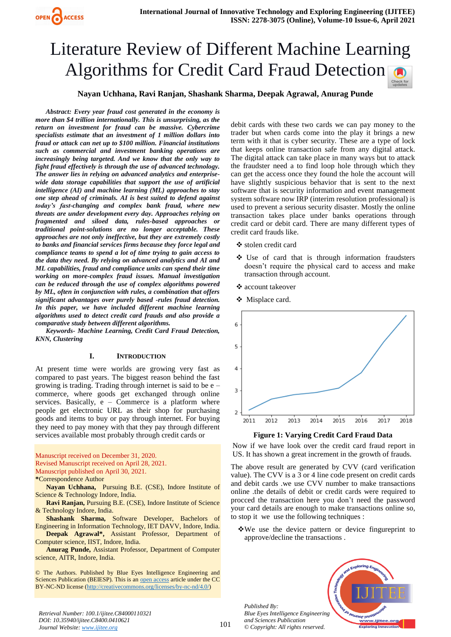# **Nayan Uchhana, Ravi Ranjan, Shashank Sharma, Deepak Agrawal, Anurag Punde**

*Abstract: Every year fraud cost generated in the economy is more than \$4 trillion internationally. This is unsurprising, as the return on investment for fraud can be massive. Cybercrime specialists estimate that an investment of 1 million dollars into fraud or attack can net up to \$100 million. Financial institutions such as commercial and investment banking operations are increasingly being targeted. And we know that the only way to fight fraud effectively is through the use of advanced technology. The answer lies in relying on advanced analytics and enterprisewide data storage capabilities that support the use of artificial intelligence (AI) and machine learning (ML) approaches to stay one step ahead of criminals. AI is best suited to defend against today's fast-changing and complex bank fraud, where new threats are under development every day. Approaches relying on fragmented and siloed data, rules-based approaches or traditional point-solutions are no longer acceptable. These approaches are not only ineffective, but they are extremely costly to banks and financial services firms because they force legal and compliance teams to spend a lot of time trying to gain access to the data they need. By relying on advanced analytics and AI and ML capabilities, fraud and compliance units can spend their time working on more-complex fraud issues. Manual investigation can be reduced through the use of complex algorithms powered by ML, often in conjunction with rules, a combination that offers significant advantages over purely based -rules fraud detection. In this paper, we have included different machine learning algorithms used to detect credit card frauds and also provide a comparative study between different algorithms.*

*Keywords- Machine Learning, Credit Card Fraud Detection, KNN, Clustering*

## **I. INTRODUCTION**

At present time were worlds are growing very fast as compared to past years. The biggest reason behind the fast growing is trading. Trading through internet is said to be  $e$  – commerce, where goods get exchanged through online services. Basically,  $e - \overline{ \text{Compare}}$  is a platform where people get electronic URL as their shop for purchasing goods and items to buy or pay through internet. For buying they need to pay money with that they pay through different services available most probably through credit cards or

Manuscript received on December 31, 2020. Revised Manuscript received on April 28, 2021. Manuscript published on April 30, 2021. **\***Correspondence Author

**Nayan Uchhana,** Pursuing B.E. (CSE), Indore Institute of Science & Technology Indore, India.

**Ravi Ranjan,** Pursuing B.E. (CSE), Indore Institute of Science & Technology Indore, India.

**Shashank Sharma,** Software Developer, Bachelors of Engineering in Information Technology, IET DAVV, Indore, India. **Deepak Agrawal\*,** Assistant Professor, Department of

Computer science, IIST, Indore, India. **Anurag Punde,** Assistant Professor, Department of Computer science, AITR, Indore, India.

© The Authors. Published by Blue Eyes Intelligence Engineering and Sciences Publication (BEIESP). This is an [open access](https://www.openaccess.nl/en/open-publications) article under the CC BY-NC-ND license [\(http://creativecommons.org/licenses/by-nc-nd/4.0/\)](http://creativecommons.org/licenses/by-nc-nd/4.0/)

debit cards with these two cards we can pay money to the trader but when cards come into the play it brings a new term with it that is cyber security. These are a type of lock that keeps online transaction safe from any digital attack. The digital attack can take place in many ways but to attack the fraudster need a to find loop hole through which they can get the access once they found the hole the account will have slightly suspicious behavior that is sent to the next software that is security information and event management system software now IRP (interim resolution professional) is used to prevent a serious security disaster. Mostly the online transaction takes place under banks operations through credit card or debit card. There are many different types of credit card frauds like.

- stolen credit card
- Use of card that is through information fraudsters doesn't require the physical card to access and make transaction through account.
- ❖ account takeover
- ❖ Misplace card.



#### **Figure 1: Varying Credit Card Fraud Data**

Now if we have look over the credit card fraud report in US. It has shown a great increment in the growth of frauds.

The above result are generated by CVV (card verification value). The CVV is a 3 or 4 line code present on credit cards and debit cards .we use CVV number to make transactions online .the details of debit or credit cards were required to procced the transaction here you don't need the password your card details are enough to make transactions online so, to stop it we use the following techniques :

We use the device pattern or device fingureprint to approve/decline the transactions .

*Published By: Blue Eyes Intelligence Engineering and Sciences Publication © Copyright: All rights reserved.*

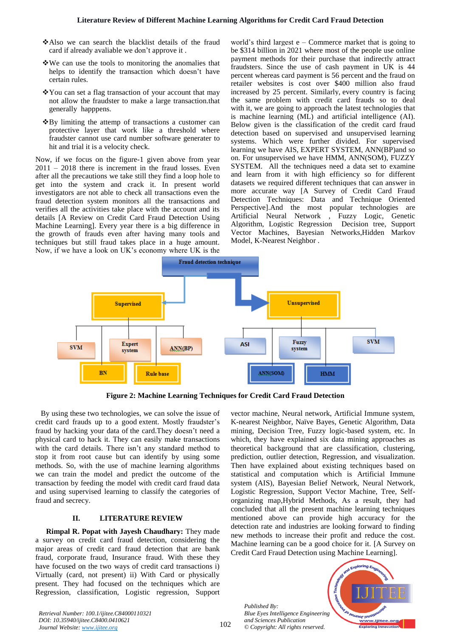- Also we can search the blacklist details of the fraud card if already avaliable we don't approve it .
- We can use the tools to monitoring the anomalies that helps to identify the transaction which doesn't have certain rules.
- You can set a flag transaction of your account that may not allow the fraudster to make a large transaction.that generally happpens.
- $\triangle$ By limiting the attemp of transactions a customer can protective layer that work like a threshold where fraudster cannot use card number software generater to hit and trial it is a velocity check.

Now, if we focus on the figure-1 given above from year 2011 – 2018 there is increment in the fraud losses. Even after all the precautions we take still they find a loop hole to get into the system and crack it. In present world investigators are not able to check all transactions even the fraud detection system monitors all the transactions and verifies all the activities take place with the account and its details [A Review on Credit Card Fraud Detection Using Machine Learning]. Every year there is a big difference in the growth of frauds even after having many tools and techniques but still fraud takes place in a huge amount. Now, if we have a look on UK's economy where UK is the

world's third largest  $e$  – Commerce market that is going to be \$314 billion in 2021 where most of the people use online payment methods for their purchase that indirectly attract fraudsters. Since the use of cash payment in UK is 44 percent whereas card payment is 56 percent and the fraud on retailer websites is cost over \$400 million also fraud increased by 25 percent. Similarly, every country is facing the same problem with credit card frauds so to deal with it, we are going to approach the latest technologies that is machine learning (ML) and artificial intelligence (AI). Below given is the classification of the credit card fraud detection based on supervised and unsupervised learning systems. Which were further divided. For supervised learning we have AIS, EXPERT SYSTEM, ANN(BP)and so on. For unsupervised we have HMM, ANN(SOM), FUZZY SYSTEM. All the techniques need a data set to examine and learn from it with high efficiency so for different datasets we required different techniques that can answer in more accurate way [A Survey of Credit Card Fraud Detection Techniques: Data and Technique Oriented Perspective].And the most popular technologies are Artificial Neural Network , Fuzzy Logic, Genetic Algorithm, Logistic Regression Decision tree, Support Vector Machines, Bayesian Networks,Hidden Markov Model, K-Nearest Neighbor .



**Figure 2: Machine Learning Techniques for Credit Card Fraud Detection**

By using these two technologies, we can solve the issue of credit card frauds up to a good extent. Mostly fraudster's fraud by hacking your data of the card.They doesn't need a physical card to hack it. They can easily make transactions with the card details. There isn't any standard method to stop it from root cause but can identify by using some methods. So, with the use of machine learning algorithms we can train the model and predict the outcome of the transaction by feeding the model with credit card fraud data and using supervised learning to classify the categories of fraud and secrecy.

# **II. LITERATURE REVIEW**

**Rimpal R. Popat with Jayesh Chaudhary:** They made a survey on credit card fraud detection, considering the major areas of credit card fraud detection that are bank fraud, corporate fraud, Insurance fraud. With these they have focused on the two ways of credit card transactions i) Virtually (card, not present) ii) With Card or physically present. They had focused on the techniques which are Regression, classification, Logistic regression, Support vector machine, Neural network, Artificial Immune system, K-nearest Neighbor, Naïve Bayes, Genetic Algorithm, Data mining, Decision Tree, Fuzzy logic-based system, etc. In which, they have explained six data mining approaches as theoretical background that are classification, clustering, prediction, outlier detection, Regression, and visualization. Then have explained about existing techniques based on statistical and computation which is Artificial Immune system (AIS), Bayesian Belief Network, Neural Network, Logistic Regression, Support Vector Machine, Tree, Selforganizing map,Hybrid Methods, As a result, they had concluded that all the present machine learning techniques mentioned above can provide high accuracy for the detection rate and industries are looking forward to finding new methods to increase their profit and reduce the cost. Machine learning can be a good choice for it. [A Survey on Credit Card Fraud Detection using Machine Learning].

*Published By: Blue Eyes Intelligence Engineering and Sciences Publication © Copyright: All rights reserved.*

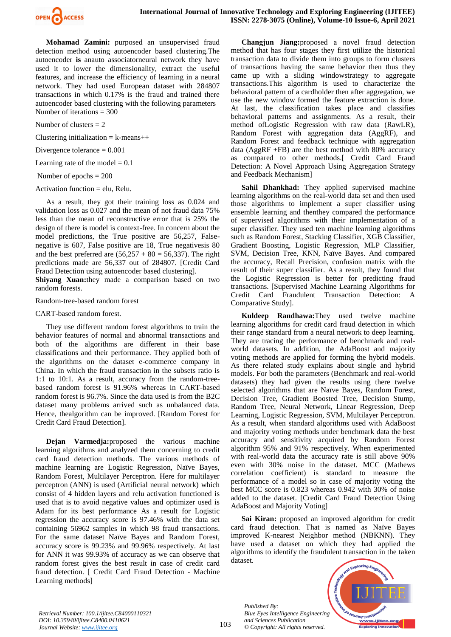

**Mohamad Zamini:** purposed an unsupervised fraud detection method using autoencoder based clustering.The autoencoder **is** anauto associatorneural network they have used it to lower the dimensionality, extract the useful features, and increase the efficiency of learning in a neural network. They had used European dataset with 284807 transactions in which 0.17% is the fraud and trained there autoencoder based clustering with the following parameters Number of iterations = 300

Number of clusters  $= 2$ 

Clustering initialization  $=$  k-means $++$ 

Divergence tolerance  $= 0.001$ 

Learning rate of the model  $= 0.1$ 

Number of epochs = 200

Activation function = elu, Relu.

As a result, they got their training loss as 0.024 and validation loss as 0.027 and the mean of not fraud data 75% less than the mean of reconstructive error that is 25% the design of there is model is context-free. In concern about the model predictions, the True positive are 56,257, Falsenegative is 607, False positive are 18, True negativesis 80 and the best preferred are  $(56,257 + 80 = 56,337)$ . The right predictions made are 56,337 out of 284807. [Credit Card Fraud Detection using autoencoder based clustering].

**Shiyang Xuan:**they made a comparison based on two random forests.

Random-tree-based random forest

CART-based random forest.

They use different random forest algorithms to train the behavior features of normal and abnormal transactions and both of the algorithms are different in their base classifications and their performance. They applied both of the algorithms on the dataset e-commerce company in China. In which the fraud transaction in the subsets ratio is 1:1 to 10:1. As a result, accuracy from the random-treebased random forest is 91.96% whereas in CART-based random forest is 96.7%. Since the data used is from the B2C dataset many problems arrived such as unbalanced data. Hence, thealgorithm can be improved. [Random Forest for Credit Card Fraud Detection].

**Dejan Varmedja:**proposed the various machine learning algorithms and analyzed them concerning to credit card fraud detection methods. The various methods of machine learning are Logistic Regression, Naïve Bayes, Random Forest, Multilayer Perceptron. Here for multilayer perceptron (ANN) is used (Artificial neural network) which consist of 4 hidden layers and relu activation functioned is used that is to avoid negative values and optimizer used is Adam for its best performance As a result for Logistic regression the accuracy score is 97.46% with the data set containing 56962 samples in which 98 fraud transactions. For the same dataset Naïve Bayes and Random Forest, accuracy score is 99.23% and 99.96% respectively. At last for ANN it was 99.93% of accuracy as we can observe that random forest gives the best result in case of credit card fraud detection. [ Credit Card Fraud Detection - Machine Learning methods]

**Changjun Jiang:**proposed a novel fraud detection method that has four stages they first utilize the historical transaction data to divide them into groups to form clusters of transactions having the same behavior then thus they came up with a sliding windowstrategy to aggregate transactions.This algorithm is used to characterize the behavioral pattern of a cardholder then after aggregation, we use the new window formed the feature extraction is done. At last, the classification takes place and classifies behavioral patterns and assignments. As a result, their method ofLogistic Regression with raw data (RawLR), Random Forest with aggregation data (AggRF), and Random Forest and feedback technique with aggregation data ( $AggRF$  +FB) are the best method with 80% accuracy as compared to other methods.[ Credit Card Fraud Detection: A Novel Approach Using Aggregation Strategy and Feedback Mechanism]

Sahil Dhankhad: They applied supervised machine learning algorithms on the real-world data set and then used those algorithms to implement a super classifier using ensemble learning and thenthey compared the performance of supervised algorithms with their implementation of a super classifier. They used ten machine learning algorithms such as Random Forest, Stacking Classifier, XGB Classifier, Gradient Boosting, Logistic Regression, MLP Classifier, SVM, Decision Tree, KNN, Naïve Bayes. And compared the accuracy, Recall Precision, confusion matrix with the result of their super classifier. As a result, they found that the Logistic Regression is better for predicting fraud transactions. [Supervised Machine Learning Algorithms for Credit Card Fraudulent Transaction Detection: A Comparative Study].

**Kuldeep Randhawa:**They used twelve machine learning algorithms for credit card fraud detection in which their range standard from a neural network to deep learning. They are tracing the performance of benchmark and realworld datasets. In addition, the AdaBoost and majority voting methods are applied for forming the hybrid models. As there related study explains about single and hybrid models. For both the parameters (Benchmark and real-world datasets) they had given the results using there twelve selected algorithms that are Naïve Bayes, Random Forest, Decision Tree, Gradient Boosted Tree, Decision Stump, Random Tree, Neural Network, Linear Regression, Deep Learning, Logistic Regression, SVM, Multilayer Perceptron. As a result, when standard algorithms used with AdaBoost and majority voting methods under benchmark data the best accuracy and sensitivity acquired by Random Forest algorithm 95% and 91% respectively. When experimented with real-world data the accuracy rate is still above 90% even with 30% noise in the dataset. MCC (Mathews correlation coefficient) is standard to measure the performance of a model so in case of majority voting the best MCC score is 0.823 whereas 0.942 with 30% of noise added to the dataset. [Credit Card Fraud Detection Using AdaBoost and Majority Voting]

**Sai Kiran:** proposed an improved algorithm for credit card fraud detection. That is named as Naïve Bayes improved K-nearest Neighbor method (NBKNN). They have used a dataset on which they had applied the algorithms to identify the fraudulent transaction in the taken dataset.

*Published By: Blue Eyes Intelligence Engineering and Sciences Publication © Copyright: All rights reserved.*

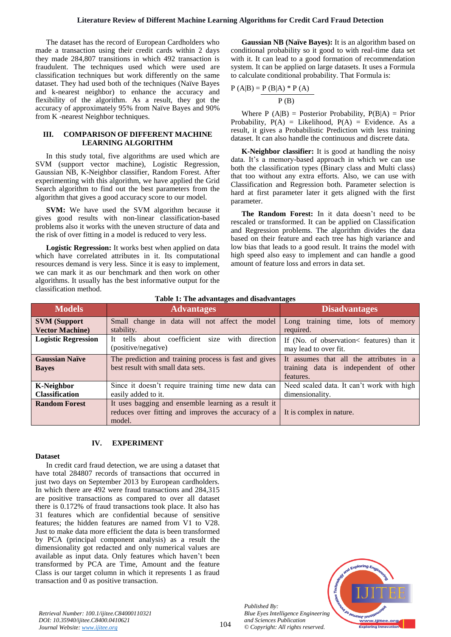The dataset has the record of European Cardholders who made a transaction using their credit cards within 2 days they made 284,807 transitions in which 492 transaction is fraudulent. The techniques used which were used are classification techniques but work differently on the same dataset. They had used both of the techniques (Naïve Bayes and k-nearest neighbor) to enhance the accuracy and flexibility of the algorithm. As a result, they got the accuracy of approximately 95% from Naïve Bayes and 90% from K -nearest Neighbor techniques.

## **III. COMPARISON OF DIFFERENT MACHINE LEARNING ALGORITHM**

In this study total, five algorithms are used which are SVM (support vector machine), Logistic Regression, Gaussian NB, K-Neighbor classifier, Random Forest. After experimenting with this algorithm, we have applied the Grid Search algorithm to find out the best parameters from the algorithm that gives a good accuracy score to our model.

**SVM:** We have used the SVM algorithm because it gives good results with non-linear classification-based problems also it works with the uneven structure of data and the risk of over fitting in a model is reduced to very less.

**Logistic Regression:** It works best when applied on data which have correlated attributes in it. Its computational resources demand is very less. Since it is easy to implement, we can mark it as our benchmark and then work on other algorithms. It usually has the best informative output for the classification method.

**Gaussian NB (Naïve Bayes):** It is an algorithm based on conditional probability so it good to with real-time data set with it. It can lead to a good formation of recommendation system. It can be applied on large datasets. It uses a Formula to calculate conditional probability. That Formula is:

$$
P(A|B) = P(B|A) * P(A)
$$
  
  $P(B)$ 

Where  $P(A|B)$  = Posterior Probability,  $P(B|A)$  = Prior Probability,  $P(A) =$  Likelihood,  $P(A) =$  Evidence. As a result, it gives a Probabilistic Prediction with less training dataset. It can also handle the continuous and discrete data.

**K-Neighbor classifier:** It is good at handling the noisy data. It's a memory-based approach in which we can use both the classification types (Binary class and Multi class) that too without any extra efforts. Also, we can use with Classification and Regression both. Parameter selection is hard at first parameter later it gets aligned with the first parameter.

**The Random Forest:** In it data doesn't need to be rescaled or transformed. It can be applied on Classification and Regression problems. The algorithm divides the data based on their feature and each tree has high variance and low bias that leads to a good result. It trains the model with high speed also easy to implement and can handle a good amount of feature loss and errors in data set.

| <b>Models</b>                                 | <b>Advantages</b>                                                                                                     | <b>Disadvantages</b>                                                                          |  |  |
|-----------------------------------------------|-----------------------------------------------------------------------------------------------------------------------|-----------------------------------------------------------------------------------------------|--|--|
| <b>SVM</b> (Support<br><b>Vector Machine)</b> | Small change in data will not affect the model<br>stability.                                                          | Long training time, lots of memory<br>required.                                               |  |  |
| <b>Logistic Regression</b>                    | coefficient<br>size<br>Tt.<br>with<br>tells<br>direction<br>about<br>(positive/negative)                              | If (No. of observation < features) than it<br>may lead to over fit.                           |  |  |
| <b>Gaussian Naïve</b><br><b>Bayes</b>         | The prediction and training process is fast and gives<br>best result with small data sets.                            | It assumes that all the attributes in a<br>training data is independent of other<br>features. |  |  |
| <b>K-Neighbor</b><br><b>Classification</b>    | Since it doesn't require training time new data can<br>easily added to it.                                            | Need scaled data. It can't work with high<br>dimensionality.                                  |  |  |
| <b>Random Forest</b>                          | It uses bagging and ensemble learning as a result it<br>reduces over fitting and improves the accuracy of a<br>model. | It is complex in nature.                                                                      |  |  |

#### **Table 1: The advantages and disadvantages**

#### **IV. EXPERIMENT**

#### **Dataset**

In credit card fraud detection, we are using a dataset that have total 284807 records of transactions that occurred in just two days on September 2013 by European cardholders. In which there are 492 were fraud transactions and 284,315 are positive transactions as compared to over all dataset there is 0.172% of fraud transactions took place. It also has 31 features which are confidential because of sensitive features; the hidden features are named from V1 to V28. Just to make data more efficient the data is been transformed by PCA (principal component analysis) as a result the dimensionality got redacted and only numerical values are available as input data. Only features which haven't been transformed by PCA are Time, Amount and the feature Class is our target column in which it represents 1 as fraud transaction and 0 as positive transaction.

> *Published By: Blue Eyes Intelligence Engineering and Sciences Publication © Copyright: All rights reserved.*



104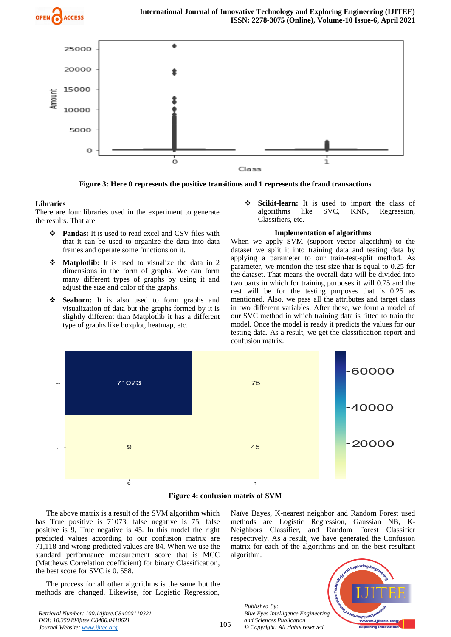



**Figure 3: Here 0 represents the positive transitions and 1 represents the fraud transactions**

## **Libraries**

There are four libraries used in the experiment to generate the results. That are:

- **Pandas:** It is used to read excel and CSV files with that it can be used to organize the data into data frames and operate some functions on it.
- **Matplotlib:** It is used to visualize the data in 2 dimensions in the form of graphs. We can form many different types of graphs by using it and adjust the size and color of the graphs.
- **Seaborn:** It is also used to form graphs and visualization of data but the graphs formed by it is slightly different than Matplotlib it has a different type of graphs like boxplot, heatmap, etc.

Scikit-learn: It is used to import the class of algorithms like SVC, KNN, Regression, Classifiers, etc.

## **Implementation of algorithms**

When we apply SVM (support vector algorithm) to the dataset we split it into training data and testing data by applying a parameter to our train-test-split method. As parameter, we mention the test size that is equal to 0.25 for the dataset. That means the overall data will be divided into two parts in which for training purposes it will 0.75 and the rest will be for the testing purposes that is 0.25 as mentioned. Also, we pass all the attributes and target class in two different variables. After these, we form a model of our SVC method in which training data is fitted to train the model. Once the model is ready it predicts the values for our testing data. As a result, we get the classification report and confusion matrix.



**Figure 4: confusion matrix of SVM**

The above matrix is a result of the SVM algorithm which has True positive is 71073, false negative is 75, false positive is 9, True negative is 45. In this model the right predicted values according to our confusion matrix are 71,118 and wrong predicted values are 84. When we use the standard performance measurement score that is MCC (Matthews Correlation coefficient) for binary Classification, the best score for SVC is 0. 558.

The process for all other algorithms is the same but the methods are changed. Likewise, for Logistic Regression, Naïve Bayes, K-nearest neighbor and Random Forest used methods are Logistic Regression, Gaussian NB, K-Neighbors Classifier, and Random Forest Classifier respectively. As a result, we have generated the Confusion matrix for each of the algorithms and on the best resultant algorithm.

*Published By: Blue Eyes Intelligence Engineering and Sciences Publication © Copyright: All rights reserved.*

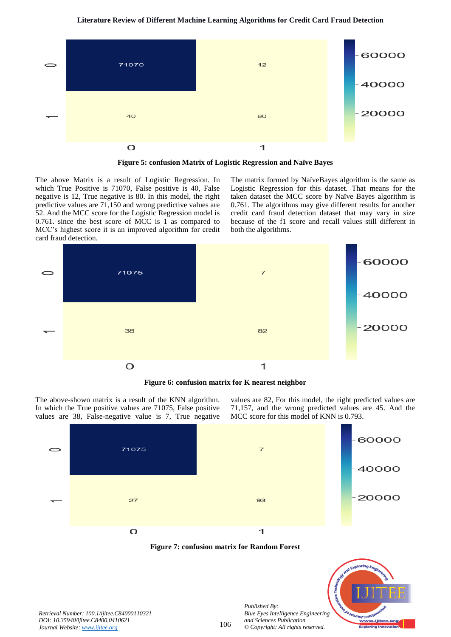

**Figure 5: confusion Matrix of Logistic Regression and Naïve Bayes**

The above Matrix is a result of Logistic Regression. In which True Positive is 71070, False positive is 40, False negative is 12, True negative is 80. In this model, the right predictive values are 71,150 and wrong predictive values are 52. And the MCC score for the Logistic Regression model is 0.761. since the best score of MCC is 1 as compared to MCC's highest score it is an improved algorithm for credit card fraud detection.

The matrix formed by NaïveBayes algorithm is the same as Logistic Regression for this dataset. That means for the taken dataset the MCC score by Naïve Bayes algorithm is 0.761. The algorithms may give different results for another credit card fraud detection dataset that may vary in size because of the f1 score and recall values still different in both the algorithms.



**Figure 6: confusion matrix for K nearest neighbor**

The above-shown matrix is a result of the KNN algorithm. In which the True positive values are 71075, False positive values are 38, False-negative value is 7, True negative values are 82, For this model, the right predicted values are 71,157, and the wrong predicted values are 45. And the MCC score for this model of KNN is 0.793.







*Published By:*

*and Sciences Publication*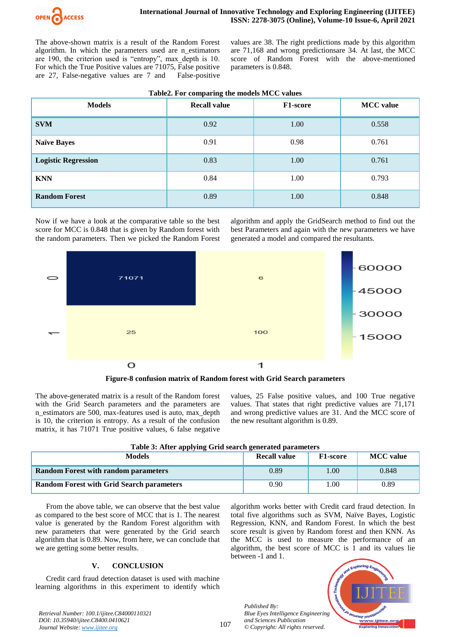

The above-shown matrix is a result of the Random Forest algorithm. In which the parameters used are n\_estimators are 190, the criterion used is "entropy", max\_depth is 10. For which the True Positive values are 71075, False positive are 27, False-negative values are 7 and False-positive

values are 38. The right predictions made by this algorithm are 71,168 and wrong predictionsare 34. At last, the MCC score of Random Forest with the above-mentioned parameters is 0.848.

| Table2. For comparing the models MCC values |
|---------------------------------------------|
|---------------------------------------------|

| <b>Models</b>              | <b>Recall value</b> | <b>F1-score</b> | <b>MCC</b> value |  |
|----------------------------|---------------------|-----------------|------------------|--|
| <b>SVM</b>                 | 0.92                | 1.00            | 0.558            |  |
| <b>Naïve Bayes</b>         | 0.91                | 0.98            | 0.761            |  |
| <b>Logistic Regression</b> | 0.83                | 1.00            | 0.761            |  |
| <b>KNN</b>                 | 0.84                | 1.00            | 0.793            |  |
| <b>Random Forest</b>       | 0.89                | 1.00            | 0.848            |  |

Now if we have a look at the comparative table so the best score for MCC is 0.848 that is given by Random forest with the random parameters. Then we picked the Random Forest algorithm and apply the GridSearch method to find out the best Parameters and again with the new parameters we have generated a model and compared the resultants.



**Figure-8 confusion matrix of Random forest with Grid Search parameters**

The above-generated matrix is a result of the Random forest with the Grid Search parameters and the parameters are n\_estimators are 500, max-features used is auto, max\_depth is 10, the criterion is entropy. As a result of the confusion matrix, it has 71071 True positive values, 6 false negative

values, 25 False positive values, and 100 True negative values. That states that right predictive values are 71,171 and wrong predictive values are 31. And the MCC score of the new resultant algorithm is 0.89.

| Table 5: After applying Grid search generated parameters |              |                 |                  |  |  |  |
|----------------------------------------------------------|--------------|-----------------|------------------|--|--|--|
| <b>Models</b>                                            | Recall value | <b>F1-score</b> | <b>MCC</b> value |  |  |  |
| <b>Random Forest with random parameters</b>              | 0.89         | 1.00            | 0.848            |  |  |  |
| <b>Random Forest with Grid Search parameters</b>         | 0.90         | 1.00            | 0.89             |  |  |  |

**Table 3: After applying Grid search generated parameters**

From the above table, we can observe that the best value as compared to the best score of MCC that is 1. The nearest value is generated by the Random Forest algorithm with new parameters that were generated by the Grid search algorithm that is 0.89. Now, from here, we can conclude that we are getting some better results.

## **V. CONCLUSION**

Credit card fraud detection dataset is used with machine learning algorithms in this experiment to identify which algorithm works better with Credit card fraud detection. In total five algorithms such as SVM, Naïve Bayes, Logistic Regression, KNN, and Random Forest. In which the best score result is given by Random forest and then KNN. As the MCC is used to measure the performance of an algorithm, the best score of MCC is  $\overline{1}$  and its values lie between -1 and 1.

*Published By: Blue Eyes Intelligence Engineering and Sciences Publication © Copyright: All rights reserved.*